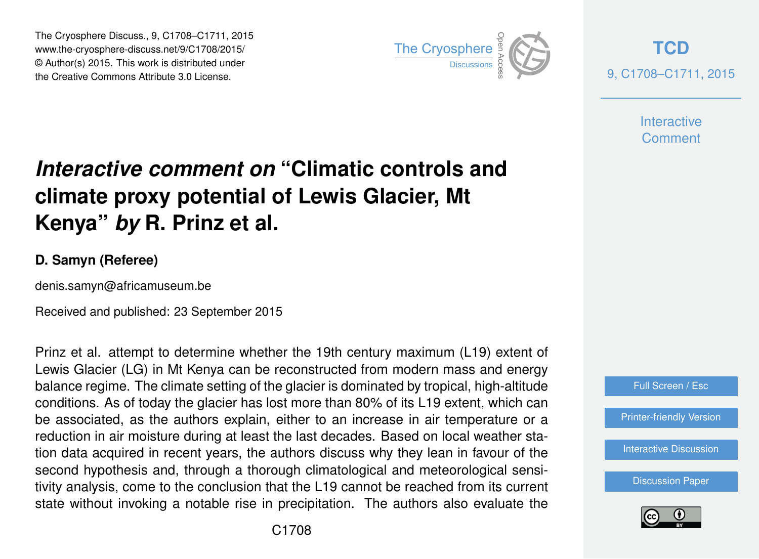The Cryosphere Discuss., 9, C1708–C1711, 2015 www.the-cryosphere-discuss.net/9/C1708/2015/ © Author(s) 2015. This work is distributed under The Cryosphere Discuss., 9, C1708–C1711, 2015<br>
www.the-cryosphere-discuss.net/9/C1708/2015/<br>
© Author(s) 2015. This work is distributed under<br>
the Creative Commons Attribute 3.0 License.



**[TCD](http://www.the-cryosphere-discuss.net)** 9, C1708–C1711, 2015

> **Interactive Comment**

## *Interactive comment on* **"Climatic controls and climate proxy potential of Lewis Glacier, Mt Kenya"** *by* **R. Prinz et al.**

## **D. Samyn (Referee)**

denis.samyn@africamuseum.be

Received and published: 23 September 2015

Prinz et al. attempt to determine whether the 19th century maximum (L19) extent of Lewis Glacier (LG) in Mt Kenya can be reconstructed from modern mass and energy balance regime. The climate setting of the glacier is dominated by tropical, high-altitude conditions. As of today the glacier has lost more than 80% of its L19 extent, which can be associated, as the authors explain, either to an increase in air temperature or a reduction in air moisture during at least the last decades. Based on local weather station data acquired in recent years, the authors discuss why they lean in favour of the second hypothesis and, through a thorough climatological and meteorological sensitivity analysis, come to the conclusion that the L19 cannot be reached from its current state without invoking a notable rise in precipitation. The authors also evaluate the



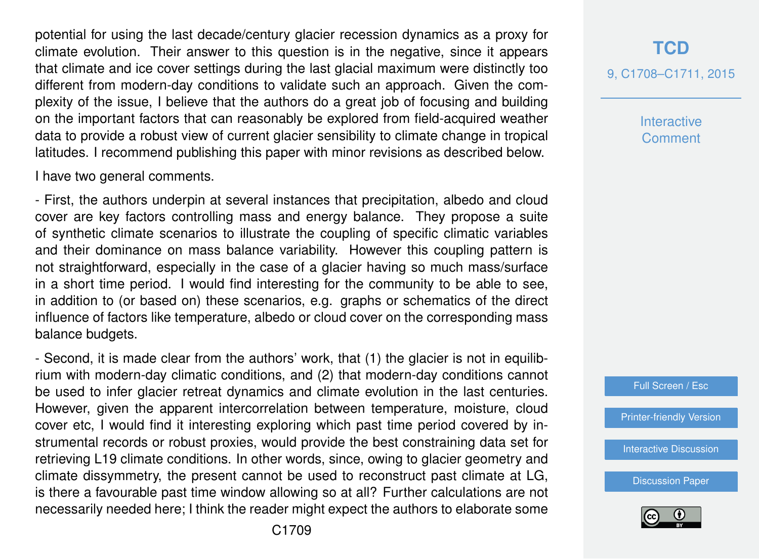potential for using the last decade/century glacier recession dynamics as a proxy for climate evolution. Their answer to this question is in the negative, since it appears that climate and ice cover settings during the last glacial maximum were distinctly too different from modern-day conditions to validate such an approach. Given the complexity of the issue, I believe that the authors do a great job of focusing and building on the important factors that can reasonably be explored from field-acquired weather data to provide a robust view of current glacier sensibility to climate change in tropical latitudes. I recommend publishing this paper with minor revisions as described below.

I have two general comments.

- First, the authors underpin at several instances that precipitation, albedo and cloud cover are key factors controlling mass and energy balance. They propose a suite of synthetic climate scenarios to illustrate the coupling of specific climatic variables and their dominance on mass balance variability. However this coupling pattern is not straightforward, especially in the case of a glacier having so much mass/surface in a short time period. I would find interesting for the community to be able to see, in addition to (or based on) these scenarios, e.g. graphs or schematics of the direct influence of factors like temperature, albedo or cloud cover on the corresponding mass balance budgets.

- Second, it is made clear from the authors' work, that (1) the glacier is not in equilibrium with modern-day climatic conditions, and (2) that modern-day conditions cannot be used to infer glacier retreat dynamics and climate evolution in the last centuries. However, given the apparent intercorrelation between temperature, moisture, cloud cover etc, I would find it interesting exploring which past time period covered by instrumental records or robust proxies, would provide the best constraining data set for retrieving L19 climate conditions. In other words, since, owing to glacier geometry and climate dissymmetry, the present cannot be used to reconstruct past climate at LG, is there a favourable past time window allowing so at all? Further calculations are not necessarily needed here; I think the reader might expect the authors to elaborate some

## **[TCD](http://www.the-cryosphere-discuss.net)** 9, C1708–C1711, 2015

**Interactive Comment** 

Full Screen / Esc

[Printer-friendly Version](http://www.the-cryosphere-discuss.net/9/C1708/2015/tcd-9-C1708-2015-print.pdf)

[Interactive Discussion](http://www.the-cryosphere-discuss.net/9/3887/2015/tcd-9-3887-2015-discussion.html)

[Discussion Paper](http://www.the-cryosphere-discuss.net/9/3887/2015/tcd-9-3887-2015.pdf)

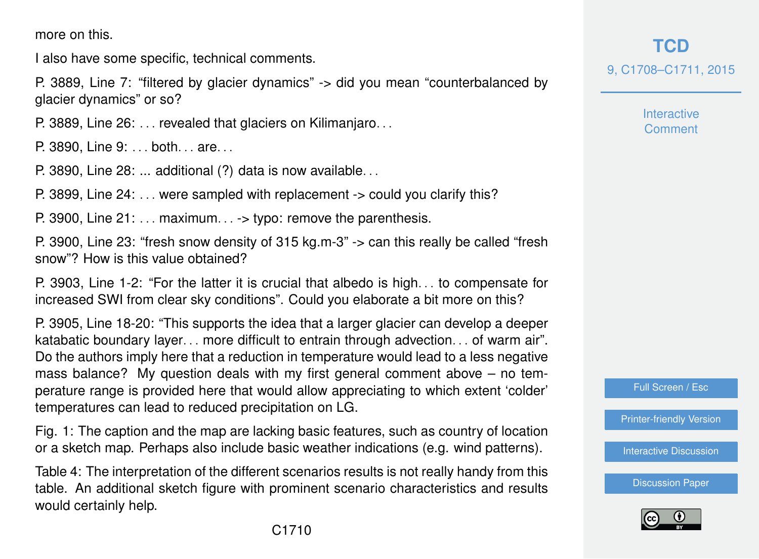more on this.

I also have some specific, technical comments.

P. 3889, Line 7: "filtered by glacier dynamics" -> did you mean "counterbalanced by glacier dynamics" or so?

P. 3889, Line 26: . . . revealed that glaciers on Kilimanjaro. . .

P. 3890, Line 9: ... both... are...

P. 3890, Line 28: ... additional (?) data is now available. . .

P. 3899, Line 24: . . . were sampled with replacement -> could you clarify this?

P. 3900, Line  $21: \ldots$  maximum... -> typo: remove the parenthesis.

P. 3900, Line 23: "fresh snow density of 315 kg.m-3" -> can this really be called "fresh snow"? How is this value obtained?

P. 3903, Line 1-2: "For the latter it is crucial that albedo is high. . . to compensate for increased SWI from clear sky conditions". Could you elaborate a bit more on this?

P. 3905, Line 18-20: "This supports the idea that a larger glacier can develop a deeper katabatic boundary layer. . . more difficult to entrain through advection. . . of warm air". Do the authors imply here that a reduction in temperature would lead to a less negative mass balance? My question deals with my first general comment above – no temperature range is provided here that would allow appreciating to which extent 'colder' temperatures can lead to reduced precipitation on LG.

Fig. 1: The caption and the map are lacking basic features, such as country of location or a sketch map. Perhaps also include basic weather indications (e.g. wind patterns).

Table 4: The interpretation of the different scenarios results is not really handy from this table. An additional sketch figure with prominent scenario characteristics and results would certainly help.

**[TCD](http://www.the-cryosphere-discuss.net)** 9, C1708–C1711, 2015

> Interactive **Comment**

Full Screen / Esc

[Printer-friendly Version](http://www.the-cryosphere-discuss.net/9/C1708/2015/tcd-9-C1708-2015-print.pdf)

[Interactive Discussion](http://www.the-cryosphere-discuss.net/9/3887/2015/tcd-9-3887-2015-discussion.html)

[Discussion Paper](http://www.the-cryosphere-discuss.net/9/3887/2015/tcd-9-3887-2015.pdf)